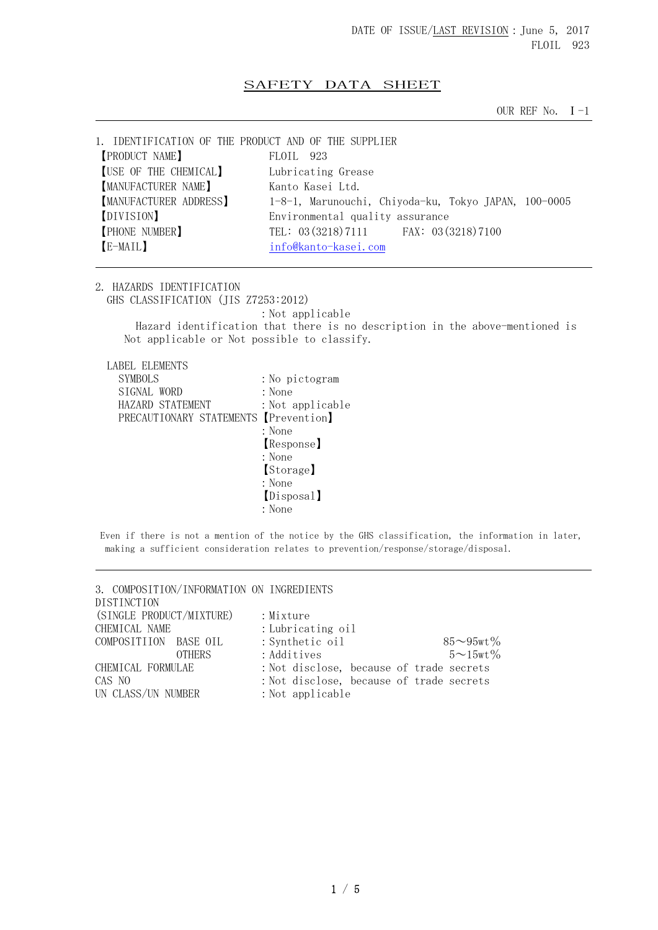## SAFETY DATA SHEET

OUR REF No.  $I-1$ 

| 1. IDENTIFICATION OF THE PRODUCT AND OF THE SUPPLIER |           |                                                      |  |  |
|------------------------------------------------------|-----------|------------------------------------------------------|--|--|
| <b>[PRODUCT NAME]</b>                                | FLOIL 923 |                                                      |  |  |
| [USE OF THE CHEMICAL]                                |           | Lubricating Grease                                   |  |  |
| <b>[MANUFACTURER NAME]</b>                           |           | Kanto Kasei Ltd.                                     |  |  |
| <b>MANUFACTURER ADDRESS</b>                          |           | 1-8-1, Marunouchi, Chiyoda-ku, Tokyo JAPAN, 100-0005 |  |  |
| [DIVISION]                                           |           | Environmental quality assurance                      |  |  |
| <b>PHONE NUMBER</b>                                  |           | TEL: 03 (3218) 7111 FAX: 03 (3218) 7100              |  |  |
| [E-MAIL]                                             |           | info@kanto-kasei.com                                 |  |  |
|                                                      |           |                                                      |  |  |

2. HAZARDS IDENTIFICATION GHS CLASSIFICATION (JIS Z7253:2012) : Not applicable Hazard identification that there is no description in the above-mentioned is Not applicable or Not possible to classify.

LABEL ELEMENTS

| <b>SYMBOLS</b>                        | : No pictogram   |
|---------------------------------------|------------------|
| SIGNAL WORD                           | : None           |
| HAZARD STATEMENT                      | : Not applicable |
| PRECAUTIONARY STATEMENTS [Prevention] |                  |
|                                       | : None           |
|                                       | Response]        |
|                                       | : None           |
|                                       | [Storage]        |
|                                       | : None           |
|                                       | [Disposal]       |
|                                       | : None           |

Even if there is not a mention of the notice by the GHS classification, the information in later, making a sufficient consideration relates to prevention/response/storage/disposal.

3. COMPOSITION/INFORMATION ON INGREDIENTS DISTINCTION (SINGLE PRODUCT/MIXTURE) : Mixture CHEMICAL NAME : Lubricating oil COMPOSITIION BASE OIL : Synthetic oil 85~95wt% OTHERS : Additives  $5 \sim 15 \text{wt} \%$ CHEMICAL FORMULAE : Not disclose, because of trade secrets CAS NO :Not disclose, because of trade secrets UN CLASS/UN NUMBER : Not applicable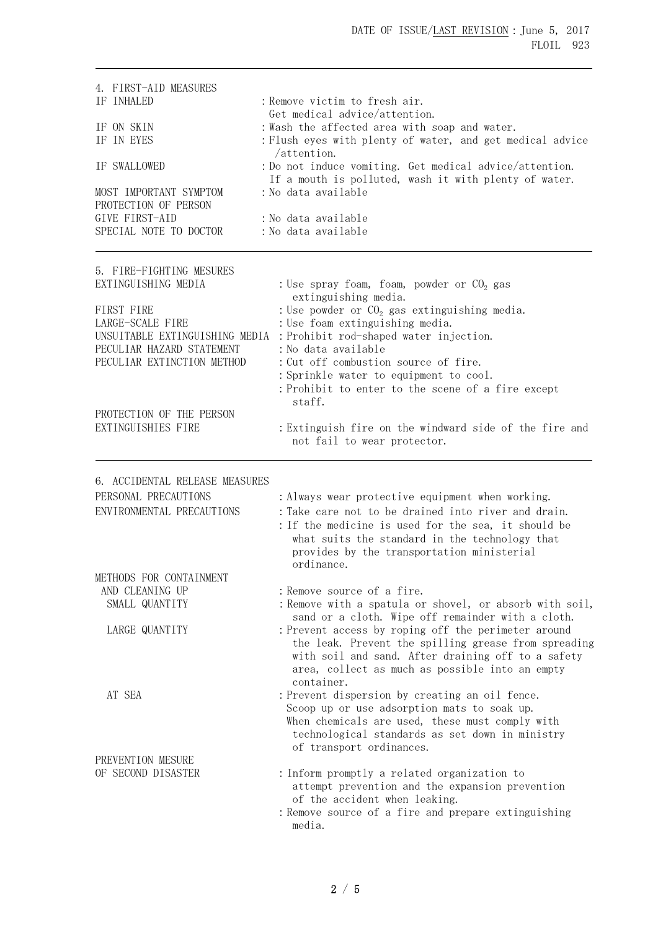| 4. FIRST-AID MEASURES<br>IF INHALED                                                        | : Remove victim to fresh air.                                                                                                                                                                                                      |
|--------------------------------------------------------------------------------------------|------------------------------------------------------------------------------------------------------------------------------------------------------------------------------------------------------------------------------------|
| IF ON SKIN<br>IF IN EYES                                                                   | Get medical advice/attention.<br>: Wash the affected area with soap and water.<br>: Flush eyes with plenty of water, and get medical advice                                                                                        |
| IF SWALLOWED                                                                               | $/$ attention.<br>: Do not induce vomiting. Get medical advice/attention.<br>If a mouth is polluted, wash it with plenty of water.                                                                                                 |
| MOST IMPORTANT SYMPTOM<br>PROTECTION OF PERSON<br>GIVE FIRST-AID<br>SPECIAL NOTE TO DOCTOR | : No data available<br>: No data available<br>: No data available                                                                                                                                                                  |
| 5. FIRE-FIGHTING MESURES<br>EXTINGUISHING MEDIA                                            | : Use spray foam, foam, powder or $CO2$ gas                                                                                                                                                                                        |
| FIRST FIRE<br>LARGE-SCALE FIRE<br>UNSUITABLE EXTINGUISHING MEDIA                           | extinguishing media.<br>: Use powder or $CO2$ gas extinguishing media.<br>: Use foam extinguishing media.<br>: Prohibit rod-shaped water injection.                                                                                |
| PECULIAR HAZARD STATEMENT<br>PECULIAR EXTINCTION METHOD                                    | : No data available<br>: Cut off combustion source of fire.<br>: Sprinkle water to equipment to cool.<br>: Prohibit to enter to the scene of a fire except<br>staff.                                                               |
| PROTECTION OF THE PERSON<br>EXTINGUISHIES FIRE                                             | : Extinguish fire on the windward side of the fire and<br>not fail to wear protector.                                                                                                                                              |
| 6. ACCIDENTAL RELEASE MEASURES                                                             |                                                                                                                                                                                                                                    |
| PERSONAL PRECAUTIONS                                                                       | : Always wear protective equipment when working.                                                                                                                                                                                   |
| ENVIRONMENTAL PRECAUTIONS                                                                  | : Take care not to be drained into river and drain.<br>: If the medicine is used for the sea, it should be<br>what suits the standard in the technology that<br>provides by the transportation ministerial<br>ordinance.           |
| METHODS FOR CONTAINMENT                                                                    |                                                                                                                                                                                                                                    |
| AND CLEANING UP                                                                            | : Remove source of a fire.                                                                                                                                                                                                         |
| SMALL QUANTITY                                                                             | : Remove with a spatula or shovel, or absorb with soil,<br>sand or a cloth. Wipe off remainder with a cloth.                                                                                                                       |
| LARGE QUANTITY                                                                             | : Prevent access by roping off the perimeter around<br>the leak. Prevent the spilling grease from spreading<br>with soil and sand. After draining off to a safety<br>area, collect as much as possible into an empty<br>container. |
| AT SEA                                                                                     | : Prevent dispersion by creating an oil fence.<br>Scoop up or use adsorption mats to soak up.<br>When chemicals are used, these must comply with<br>technological standards as set down in ministry<br>of transport ordinances.    |
| PREVENTION MESURE                                                                          |                                                                                                                                                                                                                                    |
| OF SECOND DISASTER                                                                         | : Inform promptly a related organization to<br>attempt prevention and the expansion prevention<br>of the accident when leaking.                                                                                                    |
|                                                                                            | : Remove source of a fire and prepare extinguishing<br>media.                                                                                                                                                                      |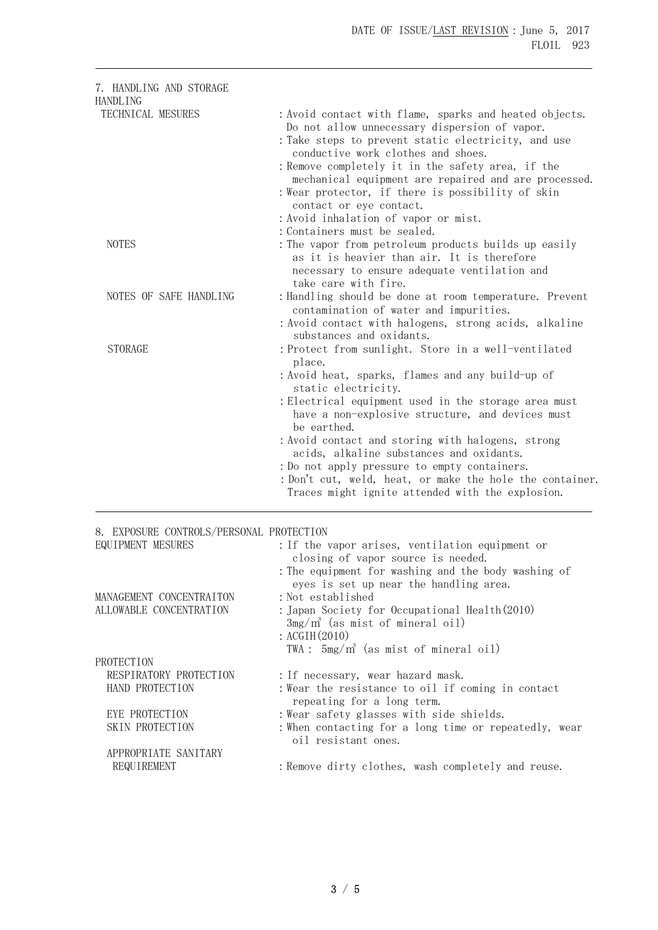| 7. HANDLING AND STORAGE<br>HANDLING                           |                                                                                                                                                                                                                                                                                                                                                                                                                                                                                                                                      |
|---------------------------------------------------------------|--------------------------------------------------------------------------------------------------------------------------------------------------------------------------------------------------------------------------------------------------------------------------------------------------------------------------------------------------------------------------------------------------------------------------------------------------------------------------------------------------------------------------------------|
| TECHNICAL MESURES                                             | : Avoid contact with flame, sparks and heated objects.<br>Do not allow unnecessary dispersion of vapor.<br>: Take steps to prevent static electricity, and use<br>conductive work clothes and shoes.<br>: Remove completely it in the safety area, if the<br>mechanical equipment are repaired and are processed.<br>: Wear protector, if there is possibility of skin<br>contact or eye contact.<br>: Avoid inhalation of vapor or mist.<br>: Containers must be sealed.                                                            |
| <b>NOTES</b>                                                  | : The vapor from petroleum products builds up easily<br>as it is heavier than air. It is therefore<br>necessary to ensure adequate ventilation and<br>take care with fire.                                                                                                                                                                                                                                                                                                                                                           |
| NOTES OF SAFE HANDLING                                        | : Handling should be done at room temperature. Prevent<br>contamination of water and impurities.<br>: Avoid contact with halogens, strong acids, alkaline<br>substances and oxidants.                                                                                                                                                                                                                                                                                                                                                |
| <b>STORAGE</b>                                                | : Protect from sunlight. Store in a well-ventilated<br>place.<br>: Avoid heat, sparks, flames and any build-up of<br>static electricity.<br>: Electrical equipment used in the storage area must<br>have a non-explosive structure, and devices must<br>be earthed.<br>: Avoid contact and storing with halogens, strong<br>acids, alkaline substances and oxidants.<br>: Do not apply pressure to empty containers.<br>: Don't cut, weld, heat, or make the hole the container.<br>Traces might ignite attended with the explosion. |
| 8. EXPOSURE CONTROLS/PERSONAL PROTECTION<br>EQUIPMENT MESURES | : If the vapor arises, ventilation equipment or<br>closing of vapor source is needed.<br>: The equipment for washing and the body washing of<br>eyes is set up near the handling area.                                                                                                                                                                                                                                                                                                                                               |
| MANAGEMENT CONCENTRAITON<br>ALLOWABLE CONCENTRATION           | :Not established<br>: Japan Society for Occupational Health(2010)<br>$3mg/m^3$ (as mist of mineral oil)<br>$:$ ACGIH $(2010)$<br>TWA: 5mg/m <sup>3</sup> (as mist of mineral oil)                                                                                                                                                                                                                                                                                                                                                    |
| PROTECTION<br>RESPIRATORY PROTECTION<br>HAND PROTECTION       | : If necessary, wear hazard mask.<br>: Wear the resistance to oil if coming in contact<br>repeating for a long term.                                                                                                                                                                                                                                                                                                                                                                                                                 |
| EYE PROTECTION<br>SKIN PROTECTION                             | : Wear safety glasses with side shields.<br>: When contacting for a long time or repeatedly, wear<br>oil resistant ones.                                                                                                                                                                                                                                                                                                                                                                                                             |
| APPROPRIATE SANITARY<br>REQUIREMENT                           | : Remove dirty clothes, wash completely and reuse.                                                                                                                                                                                                                                                                                                                                                                                                                                                                                   |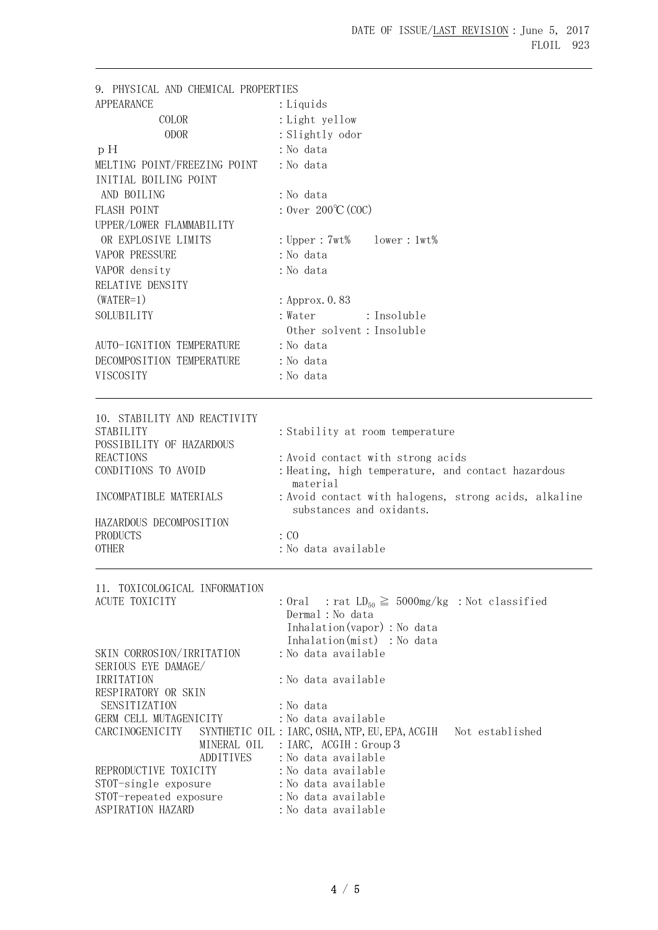| 9. PHYSICAL AND CHEMICAL PROPERTIES |                                                                    |
|-------------------------------------|--------------------------------------------------------------------|
| <b>APPEARANCE</b>                   | : Liquids                                                          |
| COLOR                               | : Light yellow                                                     |
| <b>ODOR</b>                         | : Slightly odor                                                    |
| p H                                 | : No data                                                          |
| MELTING POINT/FREEZING POINT        | : No data                                                          |
| INITIAL BOILING POINT               |                                                                    |
| AND BOILING                         | : No data                                                          |
| FLASH POINT                         | : Over $200^{\circ}C(COC)$                                         |
| UPPER/LOWER FLAMMABILITY            |                                                                    |
| OR EXPLOSIVE LIMITS                 | : $Upper: 7wt\%$<br>$lower:1wt\%$                                  |
| VAPOR PRESSURE                      | : No data                                                          |
| VAPOR density                       | : No data                                                          |
| RELATIVE DENSITY                    |                                                                    |
| $(WATER=1)$                         | : Approx. 0.83                                                     |
| SOLUBILITY                          | : Water<br>: Insoluble                                             |
|                                     | Other solvent: Insoluble                                           |
| AUTO-IGNITION TEMPERATURE           | : No data                                                          |
| DECOMPOSITION TEMPERATURE           | : No data                                                          |
| VISCOSITY                           | : No data                                                          |
|                                     |                                                                    |
| 10. STABILITY AND REACTIVITY        |                                                                    |
| <b>STABILITY</b>                    | : Stability at room temperature                                    |
| POSSIBILITY OF HAZARDOUS            |                                                                    |
| <b>REACTIONS</b>                    | : Avoid contact with strong acids                                  |
| CONDITIONS TO AVOID                 | : Heating, high temperature, and contact hazardous<br>material     |
| INCOMPATIBLE MATERIALS              | : Avoid contact with halogens, strong acids, alkaline              |
|                                     | substances and oxidants.                                           |
| HAZARDOUS DECOMPOSITION             |                                                                    |
| <b>PRODUCTS</b>                     | $\therefore$ CO                                                    |
| <b>OTHER</b>                        | : No data available                                                |
| 11. TOXICOLOGICAL INFORMATION       |                                                                    |
| ACUTE TOXICITY                      | : Oral : rat $LD_{50} \ge 5000$ mg/kg : Not classified             |
|                                     | Dermal: No data                                                    |
|                                     | Inhalation (vapor) : No data                                       |
|                                     | Inhalation(mist) : No data                                         |
| SKIN CORROSION/IRRITATION           | : No data available                                                |
| SERIOUS EYE DAMAGE/<br>IRRITATION   | : No data available                                                |
| RESPIRATORY OR SKIN                 |                                                                    |
| SENSITIZATION                       | :No data                                                           |
| GERM CELL MUTAGENICITY              | : No data available                                                |
| CARCINOGENICITY                     | SYNTHETIC OIL : IARC, OSHA, NTP, EU, EPA, ACGIH<br>Not established |
|                                     | MINERAL OIL<br>: $IARC$ , $ACGIH : Group 3$                        |
| REPRODUCTIVE TOXICITY               | <b>ADDITIVES</b><br>: No data available<br>:No data available      |
| STOT-single exposure                | : No data available                                                |
| STOT-repeated exposure              | : No data available                                                |
| ASPIRATION HAZARD                   | : No data available                                                |